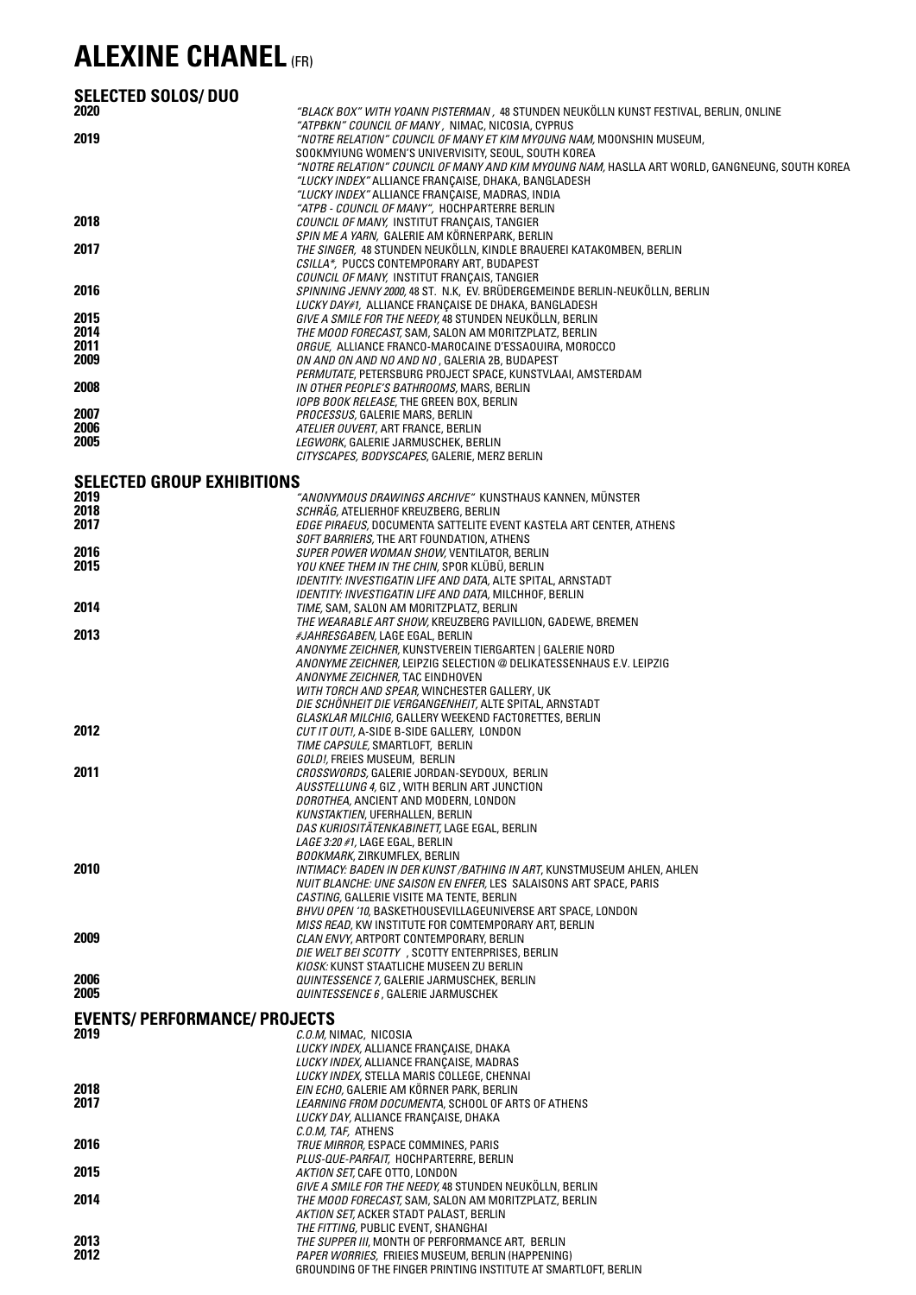## **ALEXINE CHANEL** (FR)

| <b>SELECTED SOLOS/DUO</b>                    |                                                                                                                                                      |  |
|----------------------------------------------|------------------------------------------------------------------------------------------------------------------------------------------------------|--|
| 2020                                         | "BLACK BOX" WITH YOANN PISTERMAN, 48 STUNDEN NEUKÖLLN KUNST FESTIVAL, BERLIN, ONLINE<br>"ATPBKN" COUNCIL OF MANY, NIMAC, NICOSIA, CYPRUS             |  |
| 2019                                         | "NOTRE RELATION" COUNCIL OF MANY ET KIM MYOUNG NAM, MOONSHIN MUSEUM,                                                                                 |  |
|                                              | SOOKMYIUNG WOMEN'S UNIVERVISITY, SEOUL, SOUTH KOREA<br>"NOTRE RELATION" COUNCIL OF MANY AND KIM MYOUNG NAM, HASLLA ART WORLD, GANGNEUNG, SOUTH KOREA |  |
|                                              | "LUCKY INDEX" ALLIANCE FRANCAISE, DHAKA, BANGLADESH                                                                                                  |  |
|                                              | <i>"LUCKY INDEX"</i> ALLIANCE FRANÇAISE, MADRAS, INDIA<br>"ATPB - COUNCIL OF MANY", HOCHPARTERRE BERLIN                                              |  |
| 2018                                         | COUNCIL OF MANY, INSTITUT FRANÇAIS, TANGIER                                                                                                          |  |
| 2017                                         | SPIN ME A YARN, GALERIE AM KÖRNERPARK, BERLIN<br>THE SINGER, 48 STUNDEN NEUKÖLLN, KINDLE BRAUEREI KATAKOMBEN, BERLIN                                 |  |
|                                              | CSILLA*, PUCCS CONTEMPORARY ART, BUDAPEST<br>COUNCIL OF MANY, INSTITUT FRANCAIS, TANGIER                                                             |  |
| 2016                                         | SPINNING JENNY 2000, 48 ST. N.K, EV. BRÜDERGEMEINDE BERLIN-NEUKÖLLN, BERLIN                                                                          |  |
| 2015                                         | LUCKY DAY#1, ALLIANCE FRANCAISE DE DHAKA, BANGLADESH<br>GIVE A SMILE FOR THE NEEDY, 48 STUNDEN NEUKÖLLN, BERLIN                                      |  |
| 2014                                         | THE MOOD FORECAST, SAM, SALON AM MORITZPLATZ, BERLIN                                                                                                 |  |
| 2011<br>2009                                 | ORGUE, ALLIANCE FRANCO-MAROCAINE D'ESSAOUIRA, MOROCCO                                                                                                |  |
|                                              | ON AND ON AND NO AND NO, GALERIA 2B, BUDAPEST<br>PERMUTATE, PETERSBURG PROJECT SPACE, KUNSTVLAAI, AMSTERDAM                                          |  |
| 2008                                         | IN OTHER PEOPLE'S BATHROOMS, MARS, BERLIN                                                                                                            |  |
| 2007                                         | IOPB BOOK RELEASE, THE GREEN BOX, BERLIN<br>PROCESSUS, GALERIE MARS, BERLIN                                                                          |  |
| 2006                                         | ATELIER OUVERT, ART FRANCE, BERLIN                                                                                                                   |  |
| 2005                                         | LEGWORK, GALERIE JARMUSCHEK, BERLIN<br>CITYSCAPES, BODYSCAPES, GALERIE, MERZ BERLIN                                                                  |  |
| <b>SELECTED GROUP EXHIBITIONS</b>            |                                                                                                                                                      |  |
| 2019                                         | "ANONYMOUS DRAWINGS ARCHIVE" KUNSTHAUS KANNEN, MÜNSTER                                                                                               |  |
| 2018<br>2017                                 | SCHRAG, ATELIERHOF KREUZBERG, BERLIN                                                                                                                 |  |
|                                              | EDGE PIRAEUS, DOCUMENTA SATTELITE EVENT KASTELA ART CENTER, ATHENS<br>SOFT BARRIERS, THE ART FOUNDATION, ATHENS                                      |  |
| 2016<br>2015                                 | SUPER POWER WOMAN SHOW, VENTILATOR, BERLIN                                                                                                           |  |
|                                              | YOU KNEE THEM IN THE CHIN, SPOR KLUBU, BERLIN<br><i>IDENTITY: INVESTIGATIN LIFE AND DATA,</i> ALTE SPITAL, ARNSTADT                                  |  |
| 2014                                         | <i>IDENTITY: INVESTIGATIN LIFE AND DATA,</i> MILCHHOF, BERLIN                                                                                        |  |
|                                              | TIME, SAM, SALON AM MORITZPLATZ, BERLIN<br>THE WEARABLE ART SHOW, KREUZBERG PAVILLION, GADEWE, BREMEN                                                |  |
| 2013                                         | <i>#JAHRESGABEN,</i> LAGE EGAL, BERLIN                                                                                                               |  |
|                                              | ANONYME ZEICHNER, KUNSTVEREIN TIERGARTEN   GALERIE NORD<br>ANONYME ZEICHNER, LEIPZIG SELECTION @ DELIKATESSENHAUS E.V. LEIPZIG                       |  |
|                                              | ANONYME ZEICHNER, TAC EINDHOVEN                                                                                                                      |  |
|                                              | WITH TORCH AND SPEAR, WINCHESTER GALLERY, UK<br>DIE SCHÖNHEIT DIE VERGANGENHEIT, ALTE SPITAL, ARNSTADT                                               |  |
|                                              | GLASKLAR MILCHIG, GALLERY WEEKEND FACTORETTES, BERLIN                                                                                                |  |
| 2012                                         | CUT IT OUT!, A-SIDE B-SIDE GALLERY, LONDON<br>TIME CAPSULE, SMARTLOFT, BERLIN                                                                        |  |
|                                              | GOLD!, FREIES MUSEUM, BERLIN                                                                                                                         |  |
| 2011                                         | CROSSWORDS, GALERIE JORDAN-SEYDOUX, BERLIN<br>AUSSTELLUNG 4, GIZ, WITH BERLIN ART JUNCTION                                                           |  |
|                                              | DOROTHEA, ANCIENT AND MODERN, LONDON                                                                                                                 |  |
|                                              | <b>KUNSTAKTIEN, UFERHALLEN, BERLIN</b><br>DAS KURIOSITATENKABINETT, LAGE EGAL, BERLIN                                                                |  |
|                                              | LAGE 3:20 #1, LAGE EGAL, BERLIN                                                                                                                      |  |
| 2010                                         | BOOKMARK, ZIRKUMFLEX, BERLIN<br>INTIMACY: BADEN IN DER KUNST/BATHING IN ART, KUNSTMUSEUM AHLEN, AHLEN                                                |  |
|                                              | NUIT BLANCHE: UNE SAISON EN ENFER, LES SALAISONS ART SPACE, PARIS                                                                                    |  |
|                                              | CASTING, GALLERIE VISITE MA TENTE, BERLIN<br>BHVU OPEN '10, BASKETHOUSEVILLAGEUNIVERSE ART SPACE, LONDON                                             |  |
|                                              | MISS READ, KW INSTITUTE FOR COMTEMPORARY ART, BERLIN                                                                                                 |  |
| 2009                                         | <i>CLAN ENVY, ARTPORT CONTEMPORARY, BERLIN</i><br>DIE WELT BEI SCOTTY, SCOTTY ENTERPRISES, BERLIN                                                    |  |
|                                              | KIOSK: KUNST STAATLICHE MUSEEN ZU BERLIN                                                                                                             |  |
| 2006<br>2005                                 | <i>QUINTESSENCE 7,</i> GALERIE JARMUSCHEK, BERLIN<br>QUINTESSENCE 6, GALERIE JARMUSCHEK                                                              |  |
|                                              |                                                                                                                                                      |  |
| <b>EVENTS/ PERFORMANCE/ PROJECTS</b><br>2019 | C.O.M, NIMAC, NICOSIA                                                                                                                                |  |
|                                              | LUCKY INDEX, ALLIANCE FRANÇAISE, DHAKA                                                                                                               |  |
|                                              | <i>LUCKY INDEX,</i> ALLIANCE FRANÇAISE, MADRAS<br><i>LUCKY INDEX,</i> STELLA MARIS COLLEGE, CHENNAI                                                  |  |
| 2018                                         | EIN ECHO, GALERIE AM KORNER PARK, BERLIN                                                                                                             |  |
| 2017                                         | LEARNING FROM DOCUMENTA, SCHOOL OF ARTS OF ATHENS<br>LUCKY DAY, ALLIANCE FRANÇAISE, DHAKA                                                            |  |
|                                              | C.O.M, TAF, ATHENS                                                                                                                                   |  |
| 2016                                         | TRUE MIRROR, ESPACE COMMINES, PARIS<br><i>PLUS-QUE-PARFAIT,</i> HOCHPARTERRE, BERLIN                                                                 |  |
| 2015                                         | AKTION SET, CAFE OTTO, LONDON                                                                                                                        |  |
| 2014                                         | GIVE A SMILE FOR THE NEEDY, 48 STUNDEN NEUKOLLN, BERLIN<br>THE MOOD FORECAST, SAM, SALON AM MORITZPLATZ, BERLIN                                      |  |
|                                              | AKTION SET, ACKER STADT PALAST, BERLIN                                                                                                               |  |
| 2013                                         | THE FITTING, PUBLIC EVENT, SHANGHAI<br>THE SUPPER III, MONTH OF PERFORMANCE ART, BERLIN                                                              |  |
| 2012                                         | PAPER WORRIES, FRIEIES MUSEUM, BERLIN (HAPPENING)                                                                                                    |  |
|                                              | GROUNDING OF THE FINGER PRINTING INSTITUTE AT SMARTLOFT, BERLIN                                                                                      |  |